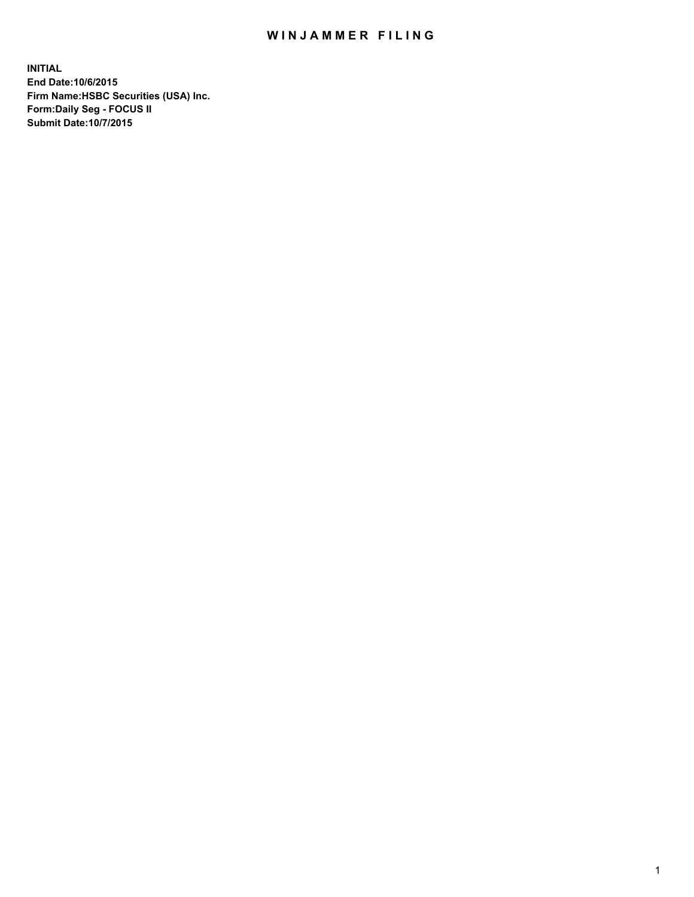## WIN JAMMER FILING

**INITIAL End Date:10/6/2015 Firm Name:HSBC Securities (USA) Inc. Form:Daily Seg - FOCUS II Submit Date:10/7/2015**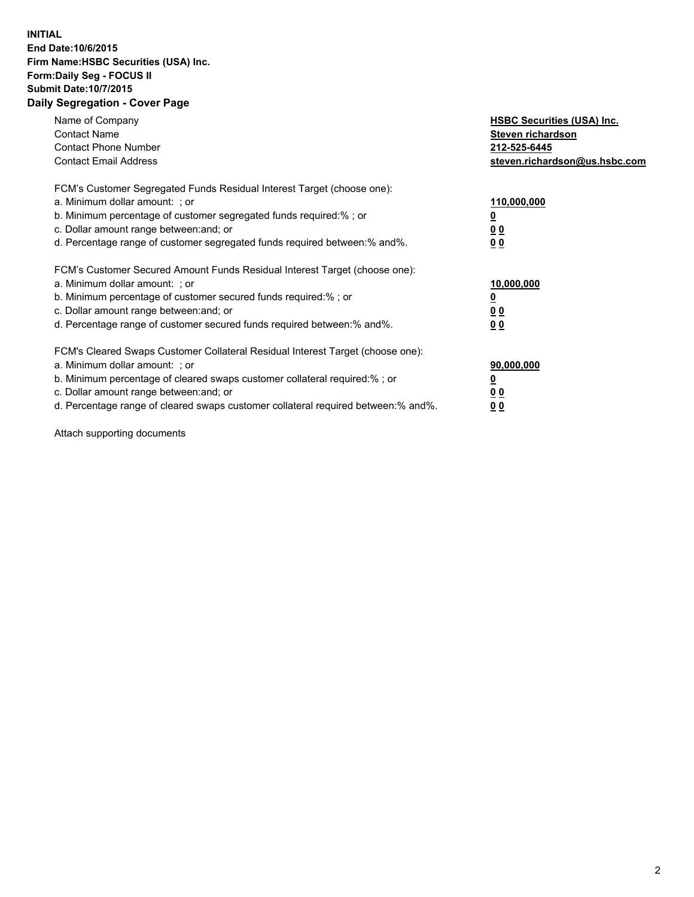## **INITIAL End Date:10/6/2015 Firm Name:HSBC Securities (USA) Inc. Form:Daily Seg - FOCUS II Submit Date:10/7/2015 Daily Segregation - Cover Page**

| Name of Company<br><b>Contact Name</b><br><b>Contact Phone Number</b><br><b>Contact Email Address</b>                                                                                                                                                                                                                          | <b>HSBC Securities (USA) Inc.</b><br>Steven richardson<br>212-525-6445<br>steven.richardson@us.hsbc.com |
|--------------------------------------------------------------------------------------------------------------------------------------------------------------------------------------------------------------------------------------------------------------------------------------------------------------------------------|---------------------------------------------------------------------------------------------------------|
| FCM's Customer Segregated Funds Residual Interest Target (choose one):<br>a. Minimum dollar amount: ; or<br>b. Minimum percentage of customer segregated funds required:%; or<br>c. Dollar amount range between: and; or<br>d. Percentage range of customer segregated funds required between: % and %.                        | 110,000,000<br>0 <sub>0</sub><br>0 <sub>0</sub>                                                         |
| FCM's Customer Secured Amount Funds Residual Interest Target (choose one):<br>a. Minimum dollar amount: ; or<br>b. Minimum percentage of customer secured funds required:%; or<br>c. Dollar amount range between: and; or<br>d. Percentage range of customer secured funds required between:% and%.                            | 10,000,000<br><u>0</u><br>0 <sub>0</sub><br>0 <sub>0</sub>                                              |
| FCM's Cleared Swaps Customer Collateral Residual Interest Target (choose one):<br>a. Minimum dollar amount: ; or<br>b. Minimum percentage of cleared swaps customer collateral required:% ; or<br>c. Dollar amount range between: and; or<br>d. Percentage range of cleared swaps customer collateral required between:% and%. | 90,000,000<br>00<br><u>00</u>                                                                           |

Attach supporting documents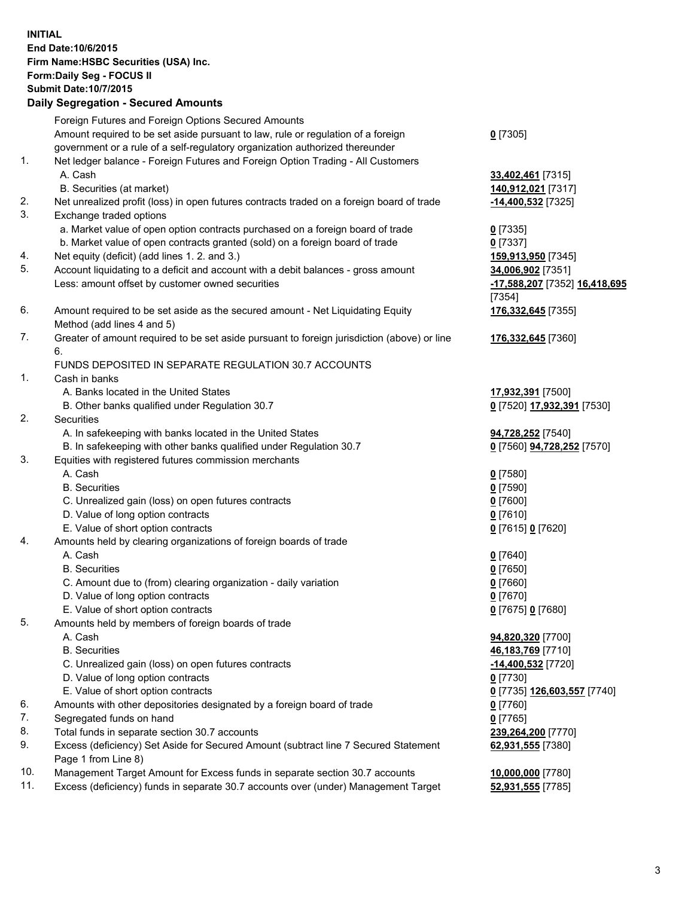**INITIAL End Date:10/6/2015 Firm Name:HSBC Securities (USA) Inc. Form:Daily Seg - FOCUS II Submit Date:10/7/2015 Daily Segregation - Secured Amounts** Foreign Futures and Foreign Options Secured Amounts Amount required to be set aside pursuant to law, rule or regulation of a foreign government or a rule of a self-regulatory organization authorized thereunder **0** [7305] 1. Net ledger balance - Foreign Futures and Foreign Option Trading - All Customers A. Cash **33,402,461** [7315] B. Securities (at market) **140,912,021** [7317] 2. Net unrealized profit (loss) in open futures contracts traded on a foreign board of trade **-14,400,532** [7325] 3. Exchange traded options a. Market value of open option contracts purchased on a foreign board of trade **0** [7335] b. Market value of open contracts granted (sold) on a foreign board of trade **0** [7337] 4. Net equity (deficit) (add lines 1. 2. and 3.) **159,913,950** [7345] 5. Account liquidating to a deficit and account with a debit balances - gross amount **34,006,902** [7351] Less: amount offset by customer owned securities **-17,588,207** [7352] **16,418,695** [7354] 6. Amount required to be set aside as the secured amount - Net Liquidating Equity Method (add lines 4 and 5) **176,332,645** [7355] 7. Greater of amount required to be set aside pursuant to foreign jurisdiction (above) or line 6. **176,332,645** [7360] FUNDS DEPOSITED IN SEPARATE REGULATION 30.7 ACCOUNTS 1. Cash in banks A. Banks located in the United States **17,932,391** [7500] B. Other banks qualified under Regulation 30.7 **0** [7520] **17,932,391** [7530] 2. Securities A. In safekeeping with banks located in the United States **94,728,252** [7540] B. In safekeeping with other banks qualified under Regulation 30.7 **0** [7560] **94,728,252** [7570] 3. Equities with registered futures commission merchants A. Cash **0** [7580] B. Securities **0** [7590] C. Unrealized gain (loss) on open futures contracts **0** [7600] D. Value of long option contracts **0** [7610] E. Value of short option contracts **0** [7615] **0** [7620] 4. Amounts held by clearing organizations of foreign boards of trade A. Cash **0** [7640] B. Securities **0** [7650] C. Amount due to (from) clearing organization - daily variation **0** [7660] D. Value of long option contracts **0** [7670] E. Value of short option contracts **0** [7675] **0** [7680] 5. Amounts held by members of foreign boards of trade A. Cash **94,820,320** [7700] B. Securities **46,183,769** [7710] C. Unrealized gain (loss) on open futures contracts **-14,400,532** [7720] D. Value of long option contracts **0** [7730] E. Value of short option contracts **0** [7735] **126,603,557** [7740] 6. Amounts with other depositories designated by a foreign board of trade **0** [7760] 7. Segregated funds on hand **0** [7765] 8. Total funds in separate section 30.7 accounts **239,264,200** [7770] 9. Excess (deficiency) Set Aside for Secured Amount (subtract line 7 Secured Statement Page 1 from Line 8) **62,931,555** [7380] 10. Management Target Amount for Excess funds in separate section 30.7 accounts **10,000,000** [7780]

11. Excess (deficiency) funds in separate 30.7 accounts over (under) Management Target **52,931,555** [7785]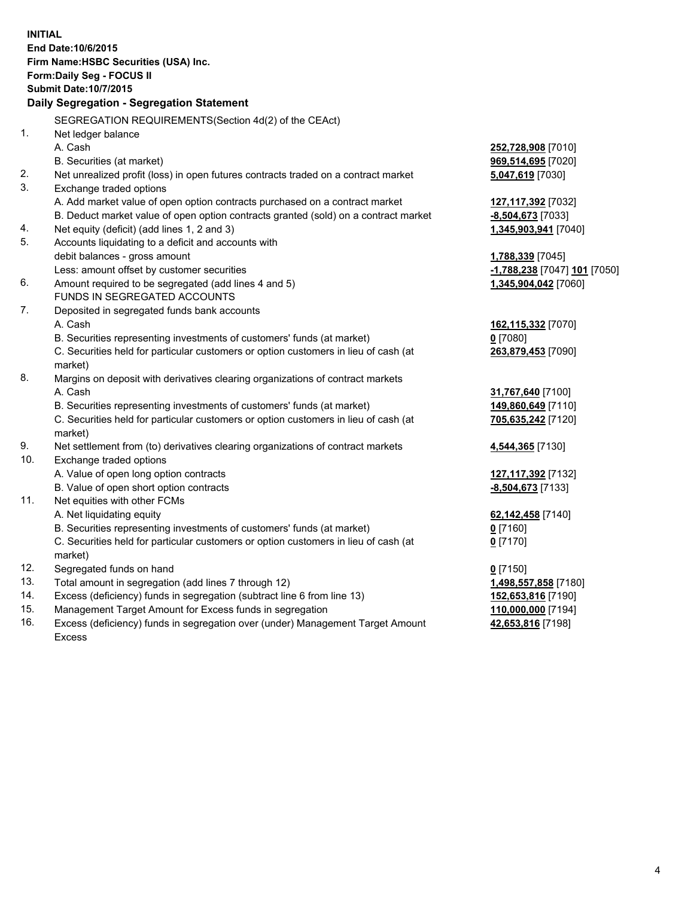| <b>INITIAL</b> | End Date: 10/6/2015<br>Firm Name: HSBC Securities (USA) Inc.<br>Form: Daily Seg - FOCUS II<br><b>Submit Date: 10/7/2015</b><br>Daily Segregation - Segregation Statement |                              |
|----------------|--------------------------------------------------------------------------------------------------------------------------------------------------------------------------|------------------------------|
|                |                                                                                                                                                                          |                              |
|                | SEGREGATION REQUIREMENTS(Section 4d(2) of the CEAct)                                                                                                                     |                              |
| 1.             | Net ledger balance<br>A. Cash                                                                                                                                            |                              |
|                |                                                                                                                                                                          | 252,728,908 [7010]           |
| 2.             | B. Securities (at market)                                                                                                                                                | 969,514,695 [7020]           |
| 3.             | Net unrealized profit (loss) in open futures contracts traded on a contract market<br>Exchange traded options                                                            | 5,047,619 [7030]             |
|                | A. Add market value of open option contracts purchased on a contract market                                                                                              | 127,117,392 [7032]           |
|                | B. Deduct market value of open option contracts granted (sold) on a contract market                                                                                      | -8,504,673 [7033]            |
| 4.             | Net equity (deficit) (add lines 1, 2 and 3)                                                                                                                              | 1,345,903,941 [7040]         |
| 5.             | Accounts liquidating to a deficit and accounts with                                                                                                                      |                              |
|                | debit balances - gross amount                                                                                                                                            | 1,788,339 [7045]             |
|                | Less: amount offset by customer securities                                                                                                                               | -1,788,238 [7047] 101 [7050] |
| 6.             | Amount required to be segregated (add lines 4 and 5)                                                                                                                     | 1,345,904,042 [7060]         |
|                | FUNDS IN SEGREGATED ACCOUNTS                                                                                                                                             |                              |
| 7.             | Deposited in segregated funds bank accounts                                                                                                                              |                              |
|                | A. Cash                                                                                                                                                                  | 162,115,332 [7070]           |
|                | B. Securities representing investments of customers' funds (at market)                                                                                                   | $0$ [7080]                   |
|                | C. Securities held for particular customers or option customers in lieu of cash (at                                                                                      | 263,879,453 [7090]           |
|                | market)                                                                                                                                                                  |                              |
| 8.             | Margins on deposit with derivatives clearing organizations of contract markets                                                                                           |                              |
|                | A. Cash                                                                                                                                                                  | 31,767,640 [7100]            |
|                | B. Securities representing investments of customers' funds (at market)                                                                                                   | 149,860,649 [7110]           |
|                | C. Securities held for particular customers or option customers in lieu of cash (at<br>market)                                                                           | 705,635,242 [7120]           |
| 9.             | Net settlement from (to) derivatives clearing organizations of contract markets                                                                                          | 4,544,365 [7130]             |
| 10.            | Exchange traded options                                                                                                                                                  |                              |
|                | A. Value of open long option contracts                                                                                                                                   | <u>127,117,392</u> [7132]    |
|                | B. Value of open short option contracts                                                                                                                                  | -8,504,673 [7133]            |
| 11.            | Net equities with other FCMs                                                                                                                                             |                              |
|                | A. Net liquidating equity                                                                                                                                                | 62,142,458 [7140]            |
|                | B. Securities representing investments of customers' funds (at market)                                                                                                   | 0 <sup>[7160]</sup>          |
|                | C. Securities held for particular customers or option customers in lieu of cash (at                                                                                      | $0$ [7170]                   |
|                | market)                                                                                                                                                                  |                              |
| 12.            | Segregated funds on hand                                                                                                                                                 | $0$ [7150]                   |
| 13.            | Total amount in segregation (add lines 7 through 12)                                                                                                                     | 1,498,557,858 [7180]         |
| 14.            | Excess (deficiency) funds in segregation (subtract line 6 from line 13)                                                                                                  | 152,653,816 [7190]           |
| 15.            | Management Target Amount for Excess funds in segregation                                                                                                                 | 110,000,000 [7194]           |
| 16.            | Excess (deficiency) funds in segregation over (under) Management Target Amount                                                                                           | 42,653,816 [7198]            |

16. Excess (deficiency) funds in segregation over (under) Management Target Amount Excess